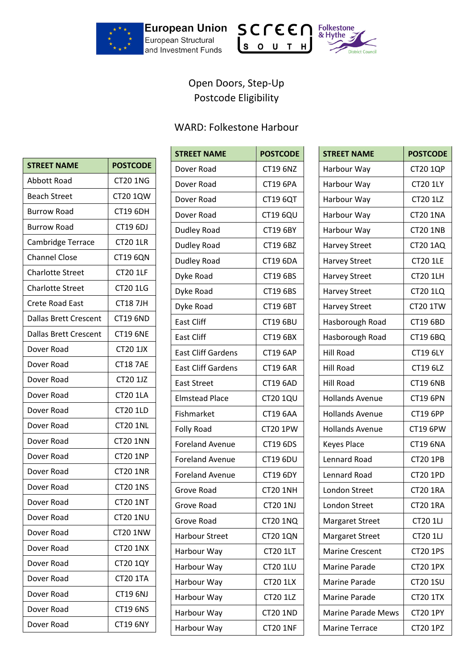





## Open Doors, Step-Up Postcode Eligibility

## WARD: Folkestone Harbour

| <b>STREET NAME</b>           | <b>POSTCODE</b> |
|------------------------------|-----------------|
| <b>Abbott Road</b>           | <b>CT20 1NG</b> |
| <b>Beach Street</b>          | <b>CT20 1QW</b> |
| <b>Burrow Road</b>           | <b>CT19 6DH</b> |
| <b>Burrow Road</b>           | CT19 6DJ        |
| Cambridge Terrace            | <b>CT20 1LR</b> |
| <b>Channel Close</b>         | <b>CT19 6QN</b> |
| <b>Charlotte Street</b>      | <b>CT20 1LF</b> |
| <b>Charlotte Street</b>      | <b>CT20 1LG</b> |
| <b>Crete Road East</b>       | <b>CT187JH</b>  |
| <b>Dallas Brett Crescent</b> | <b>CT19 6ND</b> |
| <b>Dallas Brett Crescent</b> | <b>CT19 6NE</b> |
| Dover Road                   | <b>CT20 1JX</b> |
| Dover Road                   | <b>CT18 7AE</b> |
| Dover Road                   | <b>CT20 1JZ</b> |
| Dover Road                   | <b>CT20 1LA</b> |
| Dover Road                   | <b>CT20 1LD</b> |
| Dover Road                   | <b>CT20 1NL</b> |
| Dover Road                   | <b>CT20 1NN</b> |
| Dover Road                   | <b>CT20 1NP</b> |
| Dover Road                   | <b>CT20 1NR</b> |
| Dover Road                   | <b>CT20 1NS</b> |
| Dover Road                   | <b>CT20 1NT</b> |
| Dover Road                   | <b>CT20 1NU</b> |
| Dover Road                   | <b>CT20 1NW</b> |
| Dover Road                   | <b>CT20 1NX</b> |
| Dover Road                   | <b>CT20 1QY</b> |
| Dover Road                   | <b>CT20 1TA</b> |
| Dover Road                   | CT19 6NJ        |
| Dover Road                   | <b>CT19 6NS</b> |
| Dover Road                   | <b>CT19 6NY</b> |

| <b>STREET NAME</b>        | <b>POSTCODE</b> |
|---------------------------|-----------------|
| Dover Road                | <b>CT19 6NZ</b> |
| Dover Road                | <b>CT19 6PA</b> |
| Dover Road                | CT19 6QT        |
| Dover Road                | <b>CT19 6QU</b> |
| <b>Dudley Road</b>        | <b>CT19 6BY</b> |
| Dudley Road               | CT19 6BZ        |
| Dudley Road               | <b>CT19 6DA</b> |
| Dyke Road                 | CT19 6BS        |
| Dyke Road                 | CT19 6BS        |
| Dyke Road                 | <b>CT19 6BT</b> |
| <b>East Cliff</b>         | <b>CT19 6BU</b> |
| <b>East Cliff</b>         | CT19 6BX        |
| <b>East Cliff Gardens</b> | <b>CT19 6AP</b> |
| <b>East Cliff Gardens</b> | <b>CT19 6AR</b> |
| <b>East Street</b>        | <b>CT19 6AD</b> |
| <b>Elmstead Place</b>     | <b>CT20 1QU</b> |
| Fishmarket                | <b>CT19 6AA</b> |
| Folly Road                | <b>CT20 1PW</b> |
| <b>Foreland Avenue</b>    | CT19 6DS        |
| <b>Foreland Avenue</b>    | <b>CT19 6DU</b> |
| <b>Foreland Avenue</b>    | <b>CT19 6DY</b> |
| Grove Road                | <b>CT20 1NH</b> |
| Grove Road                | CT20 1NJ        |
| Grove Road                | <b>CT20 1NQ</b> |
| <b>Harbour Street</b>     | <b>CT20 1QN</b> |
| Harbour Way               | <b>CT20 1LT</b> |
| Harbour Way               | <b>CT20 1LU</b> |
| Harbour Way               | <b>CT20 1LX</b> |
| Harbour Way               | CT20 1LZ        |
| Harbour Way               | <b>CT20 1ND</b> |
| Harbour Way               | <b>CT20 1NF</b> |

| <b>STREET NAME</b>        | <b>POSTCODE</b> |
|---------------------------|-----------------|
| Harbour Way               | <b>CT20 1QP</b> |
| Harbour Way               | <b>CT20 1LY</b> |
| Harbour Way               | <b>CT20 1LZ</b> |
| Harbour Way               | <b>CT20 1NA</b> |
| Harbour Way               | <b>CT20 1NB</b> |
| <b>Harvey Street</b>      | <b>CT20 1AQ</b> |
| <b>Harvey Street</b>      | <b>CT20 1LE</b> |
| <b>Harvey Street</b>      | <b>CT20 1LH</b> |
| <b>Harvey Street</b>      | <b>CT20 1LQ</b> |
| <b>Harvey Street</b>      | CT20 1TW        |
| Hasborough Road           | <b>CT19 6BD</b> |
| Hasborough Road           | CT19 6BQ        |
| <b>Hill Road</b>          | CT19 6LY        |
| <b>Hill Road</b>          | CT19 6LZ        |
| <b>Hill Road</b>          | <b>CT19 6NB</b> |
| <b>Hollands Avenue</b>    | <b>CT19 6PN</b> |
| <b>Hollands Avenue</b>    | <b>CT19 6PP</b> |
| <b>Hollands Avenue</b>    | <b>CT19 6PW</b> |
| <b>Keyes Place</b>        | <b>CT19 6NA</b> |
| <b>Lennard Road</b>       | <b>CT20 1PB</b> |
| <b>Lennard Road</b>       | <b>CT20 1PD</b> |
| <b>London Street</b>      | <b>CT20 1RA</b> |
| <b>London Street</b>      | <b>CT20 1RA</b> |
| Margaret Street           | <b>CT20 1LJ</b> |
| <b>Margaret Street</b>    | <b>CT20 1LJ</b> |
| <b>Marine Crescent</b>    | CT20 1PS        |
| <b>Marine Parade</b>      | <b>CT20 1PX</b> |
| <b>Marine Parade</b>      | <b>CT20 1SU</b> |
| <b>Marine Parade</b>      | <b>CT20 1TX</b> |
| <b>Marine Parade Mews</b> | <b>CT20 1PY</b> |
| <b>Marine Terrace</b>     | <b>CT20 1PZ</b> |